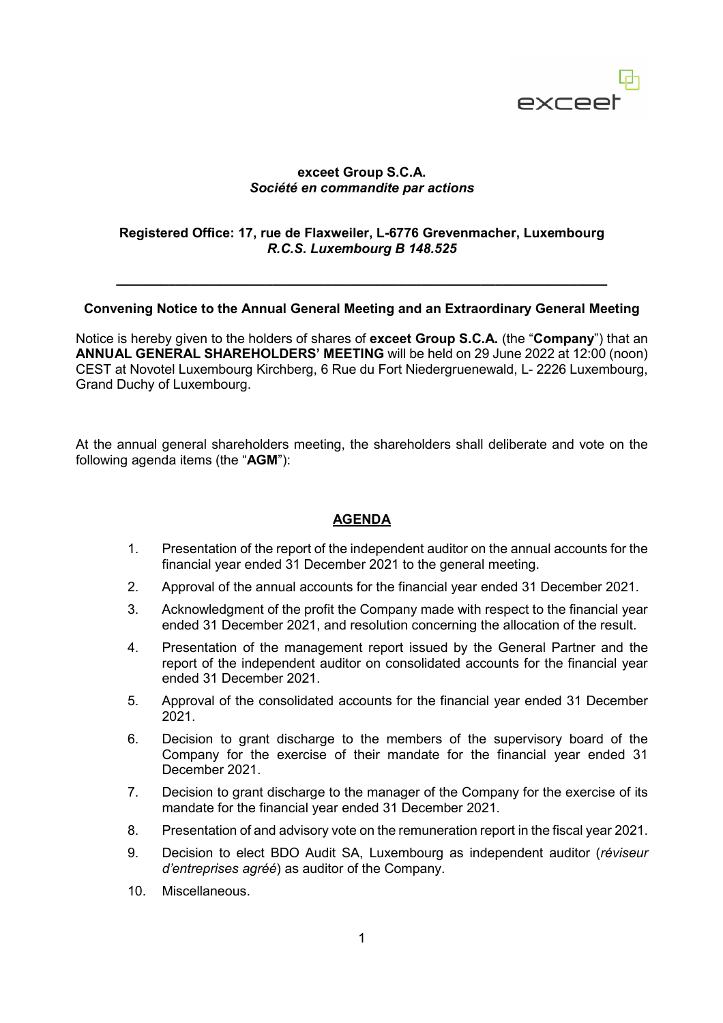

# **exceet Group S.C.A.** *Société en commandite par actions*

# **Registered Office: 17, rue de Flaxweiler, L-6776 Grevenmacher, Luxembourg** *R.C.S. Luxembourg B 148.525*

#### **Convening Notice to the Annual General Meeting and an Extraordinary General Meeting**

**\_\_\_\_\_\_\_\_\_\_\_\_\_\_\_\_\_\_\_\_\_\_\_\_\_\_\_\_\_\_\_\_\_\_\_\_\_\_\_\_\_\_\_\_\_\_\_\_\_\_\_\_\_\_\_\_\_\_\_\_\_\_\_\_\_\_** 

Notice is hereby given to the holders of shares of **exceet Group S.C.A.** (the "**Company**") that an **ANNUAL GENERAL SHAREHOLDERS' MEETING** will be held on 29 June 2022 at 12:00 (noon) CEST at Novotel Luxembourg Kirchberg, 6 Rue du Fort Niedergruenewald, L- 2226 Luxembourg, Grand Duchy of Luxembourg.

At the annual general shareholders meeting, the shareholders shall deliberate and vote on the following agenda items (the "**AGM**"):

### **AGENDA**

- 1. Presentation of the report of the independent auditor on the annual accounts for the financial year ended 31 December 2021 to the general meeting.
- 2. Approval of the annual accounts for the financial year ended 31 December 2021.
- 3. Acknowledgment of the profit the Company made with respect to the financial year ended 31 December 2021, and resolution concerning the allocation of the result.
- 4. Presentation of the management report issued by the General Partner and the report of the independent auditor on consolidated accounts for the financial year ended 31 December 2021.
- 5. Approval of the consolidated accounts for the financial year ended 31 December 2021.
- 6. Decision to grant discharge to the members of the supervisory board of the Company for the exercise of their mandate for the financial year ended 31 December 2021.
- 7. Decision to grant discharge to the manager of the Company for the exercise of its mandate for the financial year ended 31 December 2021.
- 8. Presentation of and advisory vote on the remuneration report in the fiscal year 2021.
- 9. Decision to elect BDO Audit SA, Luxembourg as independent auditor (*réviseur d'entreprises agréé*) as auditor of the Company.
- 10. Miscellaneous.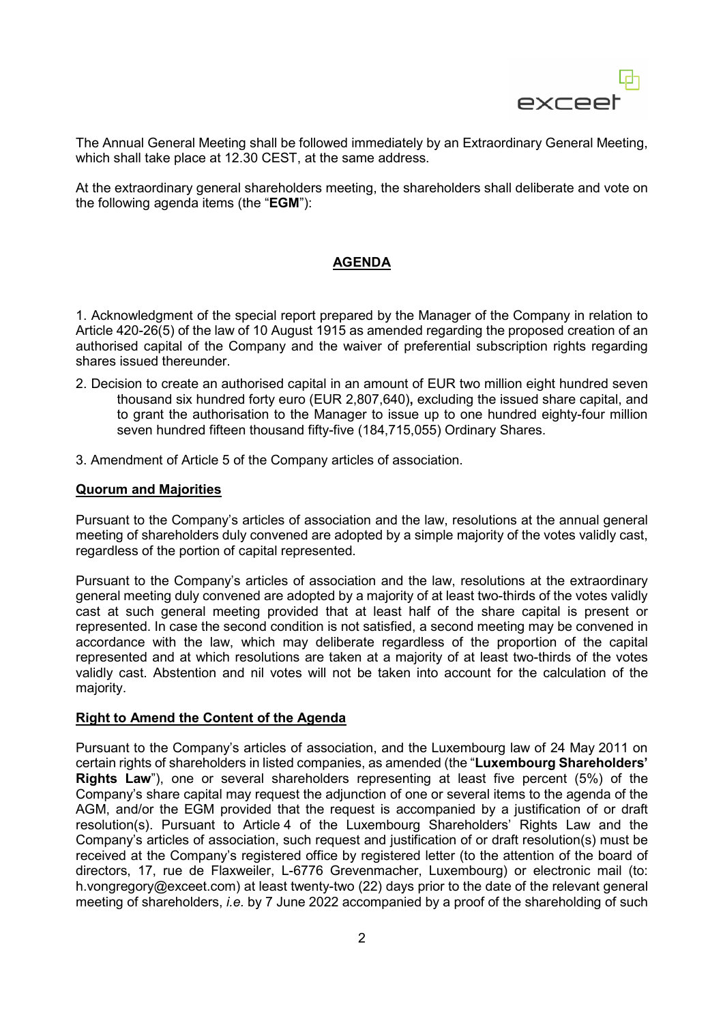

The Annual General Meeting shall be followed immediately by an Extraordinary General Meeting, which shall take place at 12.30 CEST, at the same address.

At the extraordinary general shareholders meeting, the shareholders shall deliberate and vote on the following agenda items (the "**EGM**"):

# **AGENDA**

1. Acknowledgment of the special report prepared by the Manager of the Company in relation to Article 420-26(5) of the law of 10 August 1915 as amended regarding the proposed creation of an authorised capital of the Company and the waiver of preferential subscription rights regarding shares issued thereunder.

- 2. Decision to create an authorised capital in an amount of EUR two million eight hundred seven thousand six hundred forty euro (EUR 2,807,640)**,** excluding the issued share capital, and to grant the authorisation to the Manager to issue up to one hundred eighty-four million seven hundred fifteen thousand fifty-five (184,715,055) Ordinary Shares.
- 3. Amendment of Article 5 of the Company articles of association.

#### **Quorum and Majorities**

Pursuant to the Company's articles of association and the law, resolutions at the annual general meeting of shareholders duly convened are adopted by a simple majority of the votes validly cast, regardless of the portion of capital represented.

Pursuant to the Company's articles of association and the law, resolutions at the extraordinary general meeting duly convened are adopted by a majority of at least two-thirds of the votes validly cast at such general meeting provided that at least half of the share capital is present or represented. In case the second condition is not satisfied, a second meeting may be convened in accordance with the law, which may deliberate regardless of the proportion of the capital represented and at which resolutions are taken at a majority of at least two-thirds of the votes validly cast. Abstention and nil votes will not be taken into account for the calculation of the majority.

# **Right to Amend the Content of the Agenda**

Pursuant to the Company's articles of association, and the Luxembourg law of 24 May 2011 on certain rights of shareholders in listed companies, as amended (the "**Luxembourg Shareholders' Rights Law**"), one or several shareholders representing at least five percent (5%) of the Company's share capital may request the adjunction of one or several items to the agenda of the AGM, and/or the EGM provided that the request is accompanied by a justification of or draft resolution(s). Pursuant to Article 4 of the Luxembourg Shareholders' Rights Law and the Company's articles of association, such request and justification of or draft resolution(s) must be received at the Company's registered office by registered letter (to the attention of the board of directors, 17, rue de Flaxweiler, L-6776 Grevenmacher, Luxembourg) or electronic mail (to: h.vongregory@exceet.com) at least twenty-two (22) days prior to the date of the relevant general meeting of shareholders, *i.e.* by 7 June 2022 accompanied by a proof of the shareholding of such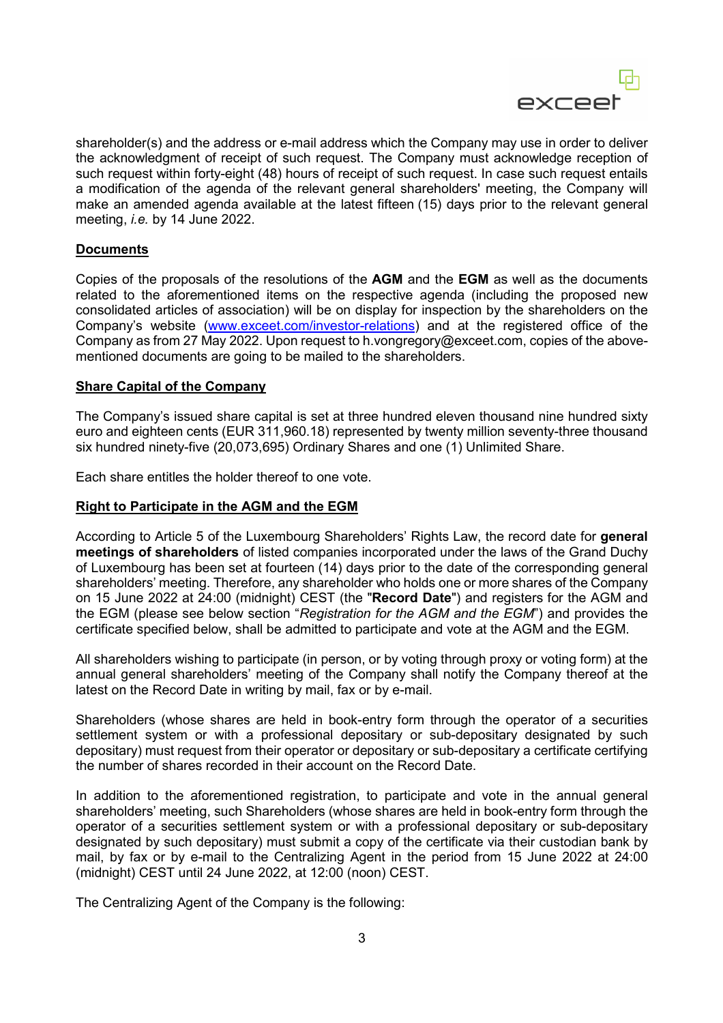

shareholder(s) and the address or e-mail address which the Company may use in order to deliver the acknowledgment of receipt of such request. The Company must acknowledge reception of such request within forty-eight (48) hours of receipt of such request. In case such request entails a modification of the agenda of the relevant general shareholders' meeting, the Company will make an amended agenda available at the latest fifteen (15) days prior to the relevant general meeting, *i.e.* by 14 June 2022.

# **Documents**

Copies of the proposals of the resolutions of the **AGM** and the **EGM** as well as the documents related to the aforementioned items on the respective agenda (including the proposed new consolidated articles of association) will be on display for inspection by the shareholders on the Company's website (www.exceet.com/investor-relations) and at the registered office of the Company as from 27 May 2022. Upon request to h.vongregory@exceet.com, copies of the abovementioned documents are going to be mailed to the shareholders.

#### **Share Capital of the Company**

The Company's issued share capital is set at three hundred eleven thousand nine hundred sixty euro and eighteen cents (EUR 311,960.18) represented by twenty million seventy-three thousand six hundred ninety-five (20,073,695) Ordinary Shares and one (1) Unlimited Share.

Each share entitles the holder thereof to one vote.

# **Right to Participate in the AGM and the EGM**

According to Article 5 of the Luxembourg Shareholders' Rights Law, the record date for **general meetings of shareholders** of listed companies incorporated under the laws of the Grand Duchy of Luxembourg has been set at fourteen (14) days prior to the date of the corresponding general shareholders' meeting. Therefore, any shareholder who holds one or more shares of the Company on 15 June 2022 at 24:00 (midnight) CEST (the "**Record Date**") and registers for the AGM and the EGM (please see below section "*Registration for the AGM and the EGM*") and provides the certificate specified below, shall be admitted to participate and vote at the AGM and the EGM.

All shareholders wishing to participate (in person, or by voting through proxy or voting form) at the annual general shareholders' meeting of the Company shall notify the Company thereof at the latest on the Record Date in writing by mail, fax or by e-mail.

Shareholders (whose shares are held in book-entry form through the operator of a securities settlement system or with a professional depositary or sub-depositary designated by such depositary) must request from their operator or depositary or sub-depositary a certificate certifying the number of shares recorded in their account on the Record Date.

In addition to the aforementioned registration, to participate and vote in the annual general shareholders' meeting, such Shareholders (whose shares are held in book-entry form through the operator of a securities settlement system or with a professional depositary or sub-depositary designated by such depositary) must submit a copy of the certificate via their custodian bank by mail, by fax or by e-mail to the Centralizing Agent in the period from 15 June 2022 at 24:00 (midnight) CEST until 24 June 2022, at 12:00 (noon) CEST.

The Centralizing Agent of the Company is the following: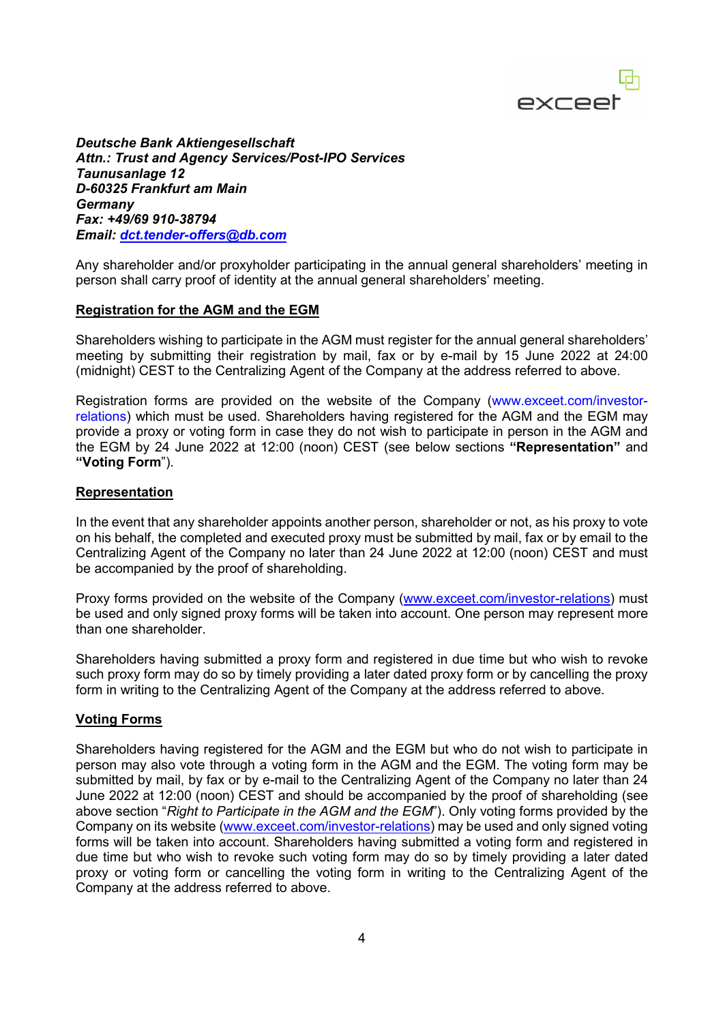

*Deutsche Bank Aktiengesellschaft Attn.: Trust and Agency Services/Post-IPO Services Taunusanlage 12 D-60325 Frankfurt am Main Germany Fax: +49/69 910-38794 Email: dct.tender-offers@db.com*

Any shareholder and/or proxyholder participating in the annual general shareholders' meeting in person shall carry proof of identity at the annual general shareholders' meeting.

#### **Registration for the AGM and the EGM**

Shareholders wishing to participate in the AGM must register for the annual general shareholders' meeting by submitting their registration by mail, fax or by e-mail by 15 June 2022 at 24:00 (midnight) CEST to the Centralizing Agent of the Company at the address referred to above.

Registration forms are provided on the website of the Company (www.exceet.com/investorrelations) which must be used. Shareholders having registered for the AGM and the EGM may provide a proxy or voting form in case they do not wish to participate in person in the AGM and the EGM by 24 June 2022 at 12:00 (noon) CEST (see below sections **"Representation"** and **"Voting Form**").

#### **Representation**

In the event that any shareholder appoints another person, shareholder or not, as his proxy to vote on his behalf, the completed and executed proxy must be submitted by mail, fax or by email to the Centralizing Agent of the Company no later than 24 June 2022 at 12:00 (noon) CEST and must be accompanied by the proof of shareholding.

Proxy forms provided on the website of the Company (www.exceet.com/investor-relations) must be used and only signed proxy forms will be taken into account. One person may represent more than one shareholder.

Shareholders having submitted a proxy form and registered in due time but who wish to revoke such proxy form may do so by timely providing a later dated proxy form or by cancelling the proxy form in writing to the Centralizing Agent of the Company at the address referred to above.

#### **Voting Forms**

Shareholders having registered for the AGM and the EGM but who do not wish to participate in person may also vote through a voting form in the AGM and the EGM. The voting form may be submitted by mail, by fax or by e-mail to the Centralizing Agent of the Company no later than 24 June 2022 at 12:00 (noon) CEST and should be accompanied by the proof of shareholding (see above section "*Right to Participate in the AGM and the EGM*"). Only voting forms provided by the Company on its website (www.exceet.com/investor-relations) may be used and only signed voting forms will be taken into account. Shareholders having submitted a voting form and registered in due time but who wish to revoke such voting form may do so by timely providing a later dated proxy or voting form or cancelling the voting form in writing to the Centralizing Agent of the Company at the address referred to above.